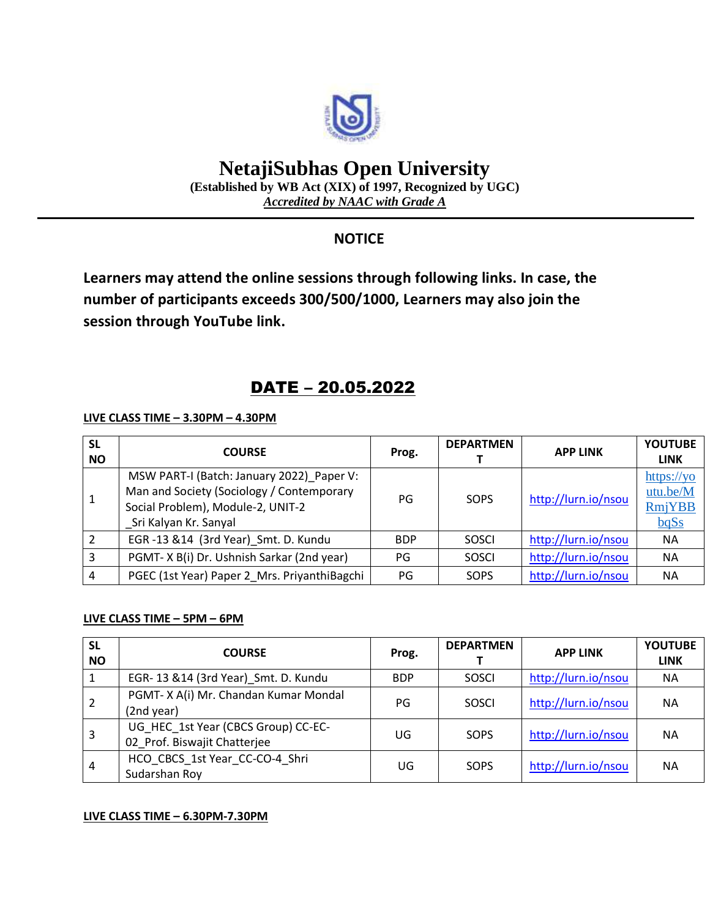

# **NetajiSubhas Open University**

**(Established by WB Act (XIX) of 1997, Recognized by UGC)** *Accredited by NAAC with Grade A*

### **NOTICE**

**Learners may attend the online sessions through following links. In case, the number of participants exceeds 300/500/1000, Learners may also join the session through YouTube link.**

## DATE – 20.05.2022

**LIVE CLASS TIME – 3.30PM – 4.30PM**

| <b>SL</b><br><b>NO</b> | <b>COURSE</b>                                                                                                                                        | Prog.      | <b>DEPARTMEN</b> | <b>APP LINK</b>     | <b>YOUTUBE</b><br><b>LINK</b>            |
|------------------------|------------------------------------------------------------------------------------------------------------------------------------------------------|------------|------------------|---------------------|------------------------------------------|
|                        | MSW PART-I (Batch: January 2022)_Paper V:<br>Man and Society (Sociology / Contemporary<br>Social Problem), Module-2, UNIT-2<br>Sri Kalyan Kr. Sanyal | PG         | SOPS             | http://lurn.io/nsou | https://yo<br>utu.be/M<br>RmjYBB<br>bqSs |
|                        | EGR-13 &14 (3rd Year)_Smt. D. Kundu                                                                                                                  | <b>BDP</b> | SOSCI            | http://lurn.io/nsou | <b>NA</b>                                |
| 3                      | PGMT-X B(i) Dr. Ushnish Sarkar (2nd year)                                                                                                            | PG         | SOSCI            | http://lurn.io/nsou | <b>NA</b>                                |
| 4                      | PGEC (1st Year) Paper 2_Mrs. PriyanthiBagchi                                                                                                         | PG         | SOPS             | http://lurn.io/nsou | <b>NA</b>                                |

#### **LIVE CLASS TIME – 5PM – 6PM**

| <b>SL</b><br><b>NO</b> | <b>COURSE</b>                                                       | Prog.      | <b>DEPARTMEN</b> | <b>APP LINK</b>     | <b>YOUTUBE</b><br><b>LINK</b> |
|------------------------|---------------------------------------------------------------------|------------|------------------|---------------------|-------------------------------|
|                        | EGR-13 &14 (3rd Year) Smt. D. Kundu                                 | <b>BDP</b> | <b>SOSCI</b>     | http://lurn.io/nsou | <b>NA</b>                     |
|                        | PGMT-XA(i) Mr. Chandan Kumar Mondal<br>(2nd year)                   | PG         | <b>SOSCI</b>     | http://lurn.io/nsou | <b>NA</b>                     |
| 3                      | UG HEC 1st Year (CBCS Group) CC-EC-<br>02_Prof. Biswajit Chatterjee | UG         | SOPS             | http://lurn.io/nsou | <b>NA</b>                     |
| 4                      | HCO CBCS 1st Year CC-CO-4 Shri<br>Sudarshan Roy                     | UG         | SOPS             | http://lurn.io/nsou | <b>NA</b>                     |

#### **LIVE CLASS TIME – 6.30PM-7.30PM**